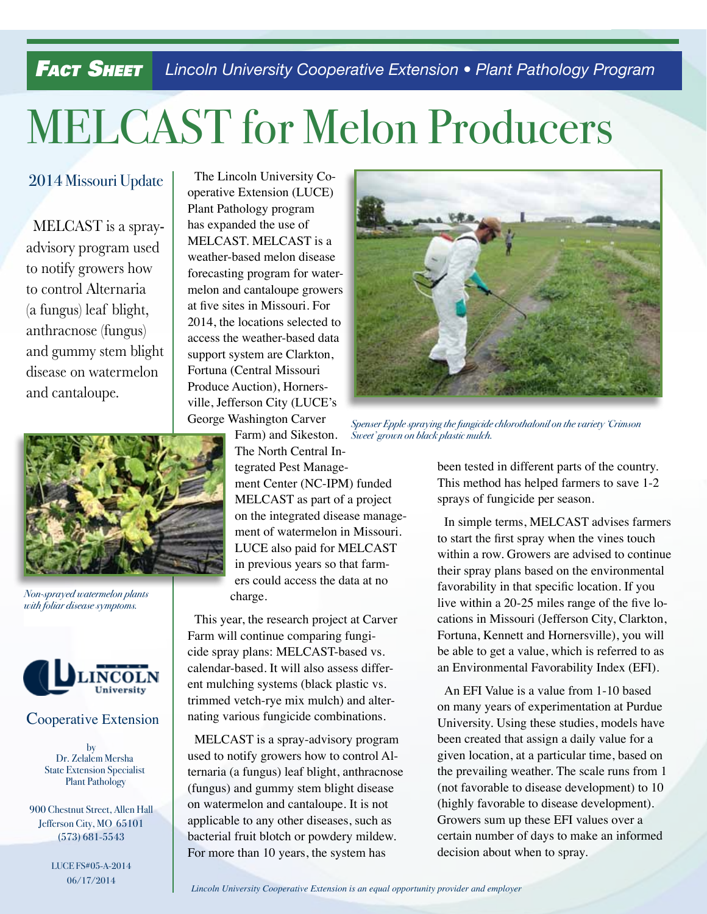## **Fact Sheet** Lincoln University Cooperative Extension • Plant Pathology Program

# MELCAST for Melon Producers

MELCAST is a sprayadvisory program used to notify growers how to control Alternaria (a fungus) leaf blight, anthracnose (fungus) and gummy stem blight disease on watermelon and cantaloupe.

2014 Missouri Update | The Lincoln University Cooperative Extension (LUCE) Plant Pathology program has expanded the use of MELCAST. MELCAST is a weather-based melon disease forecasting program for watermelon and cantaloupe growers at five sites in Missouri. For 2014, the locations selected to access the weather-based data support system are Clarkton, Fortuna (Central Missouri Produce Auction), Hornersville, Jefferson City (LUCE's George Washington Carver



*Non-sprayed watermelon plants with foliar disease symptoms.*



### Cooperative Extension

by Dr. Zelalem Mersha State Extension Specialist Plant Pathology

900 Chestnut Street, Allen Hall Jefferson City, MO 65101 (573) 681-5543

> LUCE FS#05-A-2014 06/17/2014

Farm) and Sikeston. The North Central Integrated Pest Management Center (NC-IPM) funded MELCAST as part of a project on the integrated disease management of watermelon in Missouri. LUCE also paid for MELCAST in previous years so that farmers could access the data at no charge.

This year, the research project at Carver Farm will continue comparing fungicide spray plans: MELCAST-based vs. calendar-based. It will also assess different mulching systems (black plastic vs. trimmed vetch-rye mix mulch) and alternating various fungicide combinations.

MELCAST is a spray-advisory program used to notify growers how to control Alternaria (a fungus) leaf blight, anthracnose (fungus) and gummy stem blight disease on watermelon and cantaloupe. It is not applicable to any other diseases, such as bacterial fruit blotch or powdery mildew. For more than 10 years, the system has



*Spenser Epple spraying the fungicide chlorothalonil on the variety 'Crimson Sweet' grown on black plastic mulch.*

been tested in different parts of the country. This method has helped farmers to save 1-2 sprays of fungicide per season.

In simple terms, MELCAST advises farmers to start the first spray when the vines touch within a row. Growers are advised to continue their spray plans based on the environmental favorability in that specific location. If you live within a 20-25 miles range of the five locations in Missouri (Jefferson City, Clarkton, Fortuna, Kennett and Hornersville), you will be able to get a value, which is referred to as an Environmental Favorability Index (EFI).

An EFI Value is a value from 1-10 based on many years of experimentation at Purdue University. Using these studies, models have been created that assign a daily value for a given location, at a particular time, based on the prevailing weather. The scale runs from 1 (not favorable to disease development) to 10 (highly favorable to disease development). Growers sum up these EFI values over a certain number of days to make an informed decision about when to spray.